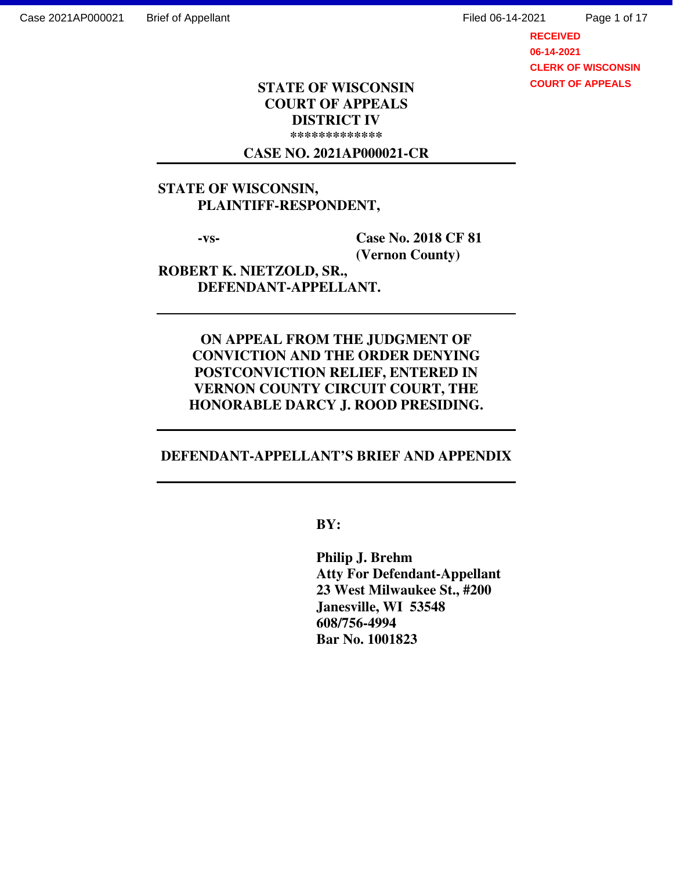Case 2021AP000021 Brief of Appellant Filed 06-14-2021

Page 1 of 17

**RECEIVED 06-14-2021 CLERK OF WISCONSIN COURT OF APPEALS**

#### **STATE OF WISCONSIN COURT OF APPEALS DISTRICT IV \*\*\*\*\*\*\*\*\*\*\*\*\***

#### **CASE NO. 2021AP000021-CR**

# **STATE OF WISCONSIN, PLAINTIFF-RESPONDENT,**

 **-vs- Case No. 2018 CF 81 (Vernon County)** 

**ROBERT K. NIETZOLD, SR., DEFENDANT-APPELLANT.** 

> **ON APPEAL FROM THE JUDGMENT OF CONVICTION AND THE ORDER DENYING POSTCONVICTION RELIEF, ENTERED IN VERNON COUNTY CIRCUIT COURT, THE HONORABLE DARCY J. ROOD PRESIDING.**

## **DEFENDANT-APPELLANT'S BRIEF AND APPENDIX**

 **BY:** 

 **Philip J. Brehm Atty For Defendant-Appellant 23 West Milwaukee St., #200 Janesville, WI 53548 608/756-4994 Bar No. 1001823**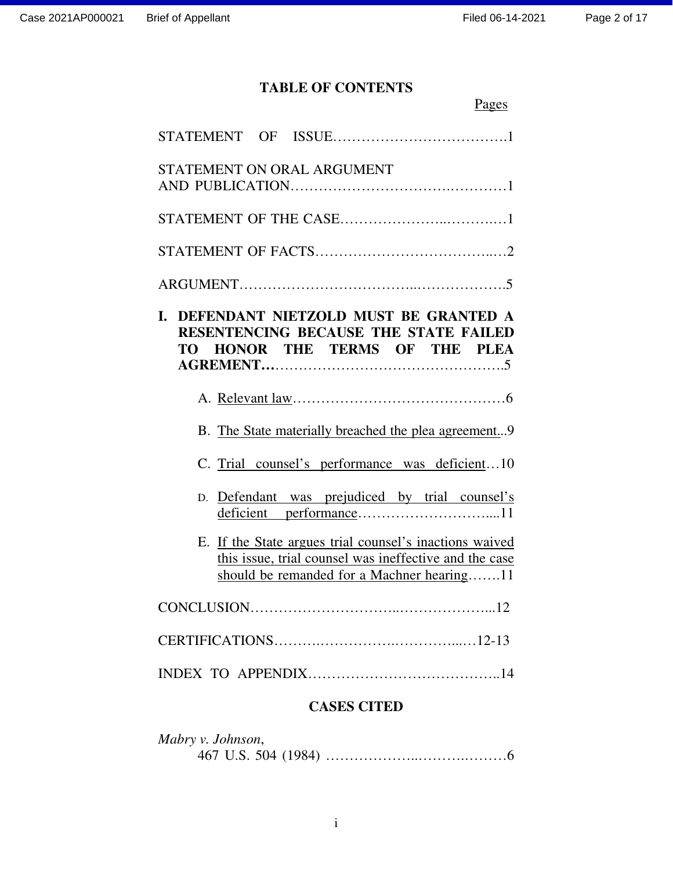# **TABLE OF CONTENTS**

| Pages                                                                                                                                                                                                                                                                                                                                                                             |
|-----------------------------------------------------------------------------------------------------------------------------------------------------------------------------------------------------------------------------------------------------------------------------------------------------------------------------------------------------------------------------------|
|                                                                                                                                                                                                                                                                                                                                                                                   |
| STATEMENT ON ORAL ARGUMENT                                                                                                                                                                                                                                                                                                                                                        |
|                                                                                                                                                                                                                                                                                                                                                                                   |
|                                                                                                                                                                                                                                                                                                                                                                                   |
|                                                                                                                                                                                                                                                                                                                                                                                   |
| DEFENDANT NIETZOLD MUST BE GRANTED A<br>L.<br>RESENTENCING BECAUSE THE STATE FAILED<br>TO HONOR THE TERMS OF THE PLEA                                                                                                                                                                                                                                                             |
|                                                                                                                                                                                                                                                                                                                                                                                   |
| B. The State materially breached the plea agreement9                                                                                                                                                                                                                                                                                                                              |
| C. Trial counsel's performance was deficient10                                                                                                                                                                                                                                                                                                                                    |
| Defendant was prejudiced by trial counsel's<br>D.                                                                                                                                                                                                                                                                                                                                 |
| E. If the State argues trial counsel's inactions waived<br>this issue, trial counsel was ineffective and the case<br>should be remanded for a Machner hearing11                                                                                                                                                                                                                   |
|                                                                                                                                                                                                                                                                                                                                                                                   |
|                                                                                                                                                                                                                                                                                                                                                                                   |
|                                                                                                                                                                                                                                                                                                                                                                                   |
| $\bigcap$ $\bigcap$ $\bigcap$ $\bigcap$ $\bigcap$ $\bigcap$ $\bigcap$ $\bigcap$ $\bigcap$ $\bigcap$ $\bigcap$ $\bigcap$ $\bigcap$ $\bigcap$ $\bigcap$ $\bigcap$ $\bigcap$ $\bigcap$ $\bigcap$ $\bigcap$ $\bigcap$ $\bigcap$ $\bigcap$ $\bigcap$ $\bigcap$ $\bigcap$ $\bigcap$ $\bigcap$ $\bigcap$ $\bigcap$ $\bigcap$ $\bigcap$ $\bigcap$ $\bigcap$ $\bigcap$ $\bigcap$ $\bigcap$ |

# **CASES CITED**

| Mabry v. Johnson, |  |
|-------------------|--|
|                   |  |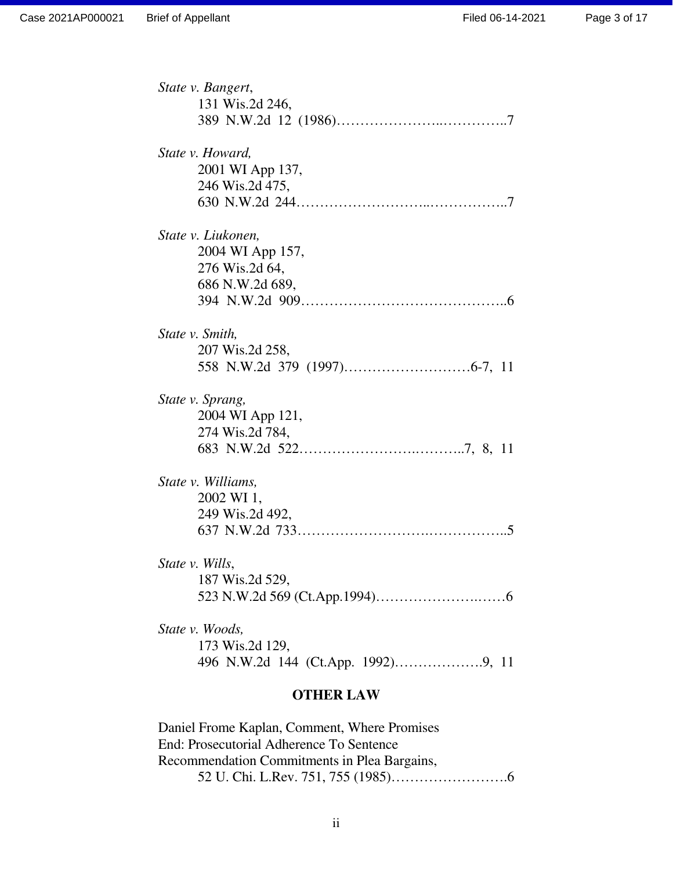| State v. Bangert,  |
|--------------------|
| 131 Wis.2d 246,    |
|                    |
| State v. Howard,   |
| 2001 WI App 137,   |
| 246 Wis.2d 475,    |
|                    |
| State v. Liukonen, |
| 2004 WI App 157,   |
| 276 Wis.2d 64,     |
| 686 N.W.2d 689,    |
|                    |
| State v. Smith,    |
| 207 Wis.2d 258,    |
|                    |
| State v. Sprang,   |
| 2004 WI App 121,   |
| 274 Wis.2d 784,    |
|                    |
| State v. Williams, |
| 2002 WI 1,         |
| 249 Wis.2d 492,    |
|                    |
| State v. Wills,    |
| 187 Wis.2d 529,    |
|                    |
| State v. Woods,    |
| 173 Wis.2d 129,    |
|                    |

### **OTHER LAW**

Daniel Frome Kaplan, Comment, Where Promises End: Prosecutorial Adherence To Sentence Recommendation Commitments in Plea Bargains, 52 U. Chi. L.Rev. 751, 755 (1985)…………………….6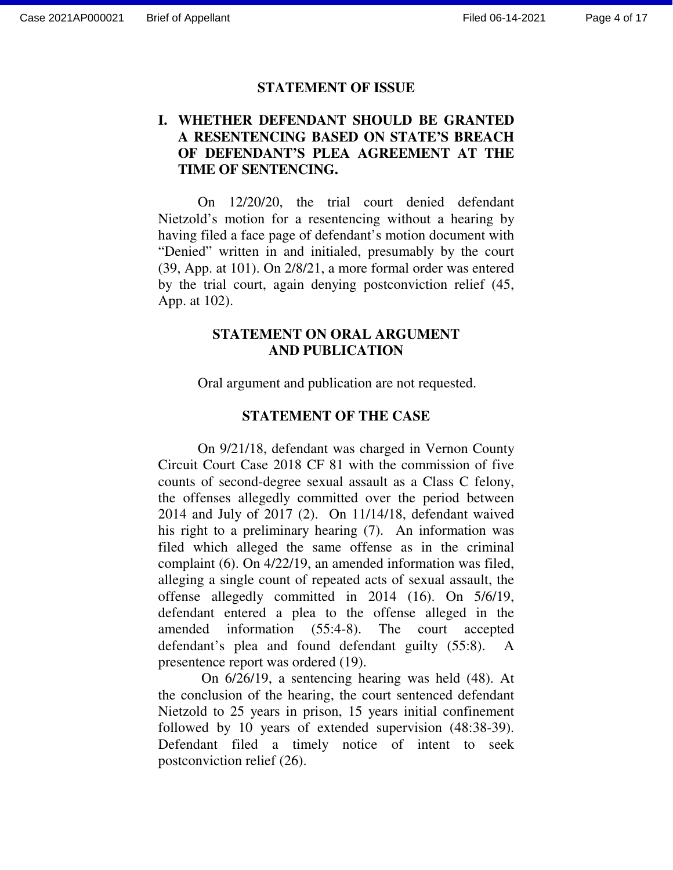#### **STATEMENT OF ISSUE**

# **I. WHETHER DEFENDANT SHOULD BE GRANTED A RESENTENCING BASED ON STATE'S BREACH OF DEFENDANT'S PLEA AGREEMENT AT THE TIME OF SENTENCING.**

On 12/20/20, the trial court denied defendant Nietzold's motion for a resentencing without a hearing by having filed a face page of defendant's motion document with "Denied" written in and initialed, presumably by the court (39, App. at 101). On 2/8/21, a more formal order was entered by the trial court, again denying postconviction relief (45, App. at 102).

# **STATEMENT ON ORAL ARGUMENT AND PUBLICATION**

Oral argument and publication are not requested.

#### **STATEMENT OF THE CASE**

 On 9/21/18, defendant was charged in Vernon County Circuit Court Case 2018 CF 81 with the commission of five counts of second-degree sexual assault as a Class C felony, the offenses allegedly committed over the period between 2014 and July of 2017 (2). On 11/14/18, defendant waived his right to a preliminary hearing (7). An information was filed which alleged the same offense as in the criminal complaint (6). On 4/22/19, an amended information was filed, alleging a single count of repeated acts of sexual assault, the offense allegedly committed in 2014 (16). On 5/6/19, defendant entered a plea to the offense alleged in the amended information (55:4-8). The court accepted defendant's plea and found defendant guilty (55:8). A presentence report was ordered (19).

 On 6/26/19, a sentencing hearing was held (48). At the conclusion of the hearing, the court sentenced defendant Nietzold to 25 years in prison, 15 years initial confinement followed by 10 years of extended supervision (48:38-39). Defendant filed a timely notice of intent to seek postconviction relief (26).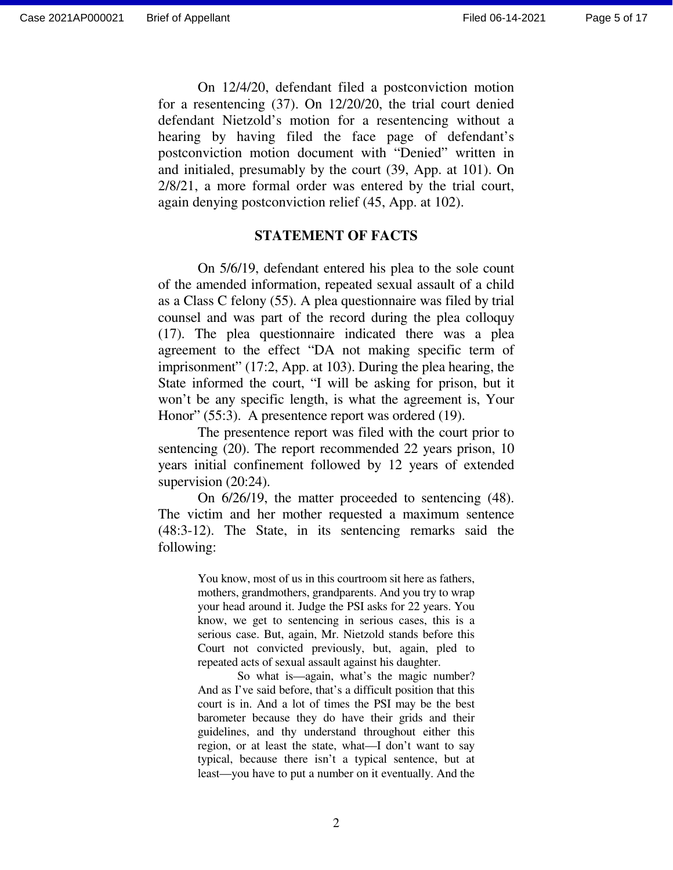On 12/4/20, defendant filed a postconviction motion for a resentencing (37). On 12/20/20, the trial court denied defendant Nietzold's motion for a resentencing without a hearing by having filed the face page of defendant's postconviction motion document with "Denied" written in and initialed, presumably by the court (39, App. at 101). On 2/8/21, a more formal order was entered by the trial court, again denying postconviction relief (45, App. at 102).

#### **STATEMENT OF FACTS**

 On 5/6/19, defendant entered his plea to the sole count of the amended information, repeated sexual assault of a child as a Class C felony (55). A plea questionnaire was filed by trial counsel and was part of the record during the plea colloquy (17). The plea questionnaire indicated there was a plea agreement to the effect "DA not making specific term of imprisonment" (17:2, App. at 103). During the plea hearing, the State informed the court, "I will be asking for prison, but it won't be any specific length, is what the agreement is, Your Honor" (55:3). A presentence report was ordered (19).

 The presentence report was filed with the court prior to sentencing (20). The report recommended 22 years prison, 10 years initial confinement followed by 12 years of extended supervision  $(20:24)$ .

 On 6/26/19, the matter proceeded to sentencing (48). The victim and her mother requested a maximum sentence (48:3-12). The State, in its sentencing remarks said the following:

> You know, most of us in this courtroom sit here as fathers, mothers, grandmothers, grandparents. And you try to wrap your head around it. Judge the PSI asks for 22 years. You know, we get to sentencing in serious cases, this is a serious case. But, again, Mr. Nietzold stands before this Court not convicted previously, but, again, pled to repeated acts of sexual assault against his daughter.

> So what is—again, what's the magic number? And as I've said before, that's a difficult position that this court is in. And a lot of times the PSI may be the best barometer because they do have their grids and their guidelines, and thy understand throughout either this region, or at least the state, what—I don't want to say typical, because there isn't a typical sentence, but at least—you have to put a number on it eventually. And the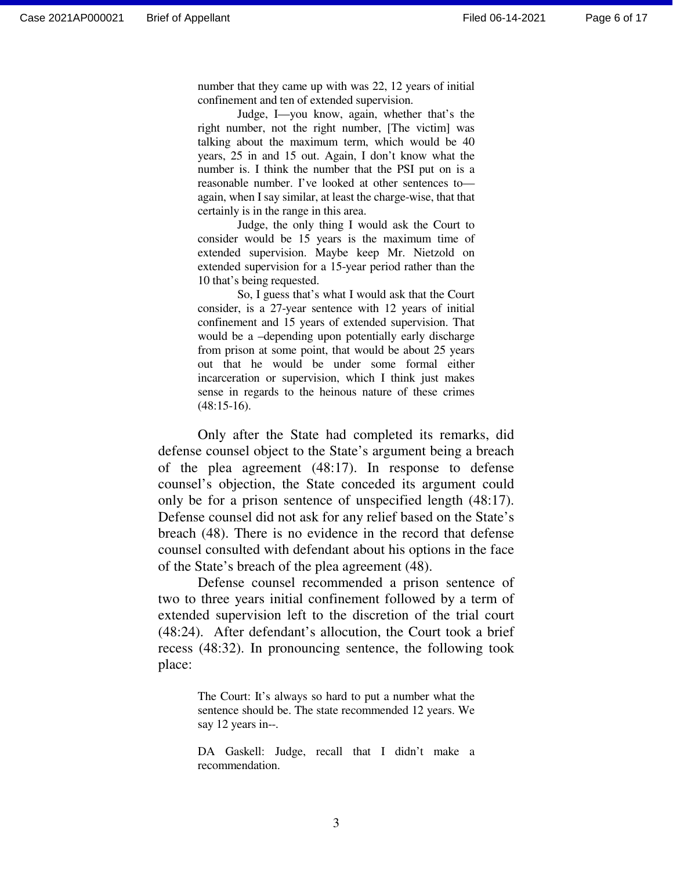number that they came up with was 22, 12 years of initial confinement and ten of extended supervision.

 Judge, I—you know, again, whether that's the right number, not the right number, [The victim] was talking about the maximum term, which would be 40 years, 25 in and 15 out. Again, I don't know what the number is. I think the number that the PSI put on is a reasonable number. I've looked at other sentences to again, when I say similar, at least the charge-wise, that that certainly is in the range in this area.

 Judge, the only thing I would ask the Court to consider would be 15 years is the maximum time of extended supervision. Maybe keep Mr. Nietzold on extended supervision for a 15-year period rather than the 10 that's being requested.

 So, I guess that's what I would ask that the Court consider, is a 27-year sentence with 12 years of initial confinement and 15 years of extended supervision. That would be a –depending upon potentially early discharge from prison at some point, that would be about 25 years out that he would be under some formal either incarceration or supervision, which I think just makes sense in regards to the heinous nature of these crimes (48:15-16).

 Only after the State had completed its remarks, did defense counsel object to the State's argument being a breach of the plea agreement (48:17). In response to defense counsel's objection, the State conceded its argument could only be for a prison sentence of unspecified length (48:17). Defense counsel did not ask for any relief based on the State's breach (48). There is no evidence in the record that defense counsel consulted with defendant about his options in the face of the State's breach of the plea agreement (48).

 Defense counsel recommended a prison sentence of two to three years initial confinement followed by a term of extended supervision left to the discretion of the trial court (48:24). After defendant's allocution, the Court took a brief recess (48:32). In pronouncing sentence, the following took place:

> The Court: It's always so hard to put a number what the sentence should be. The state recommended 12 years. We say 12 years in--.

> DA Gaskell: Judge, recall that I didn't make a recommendation.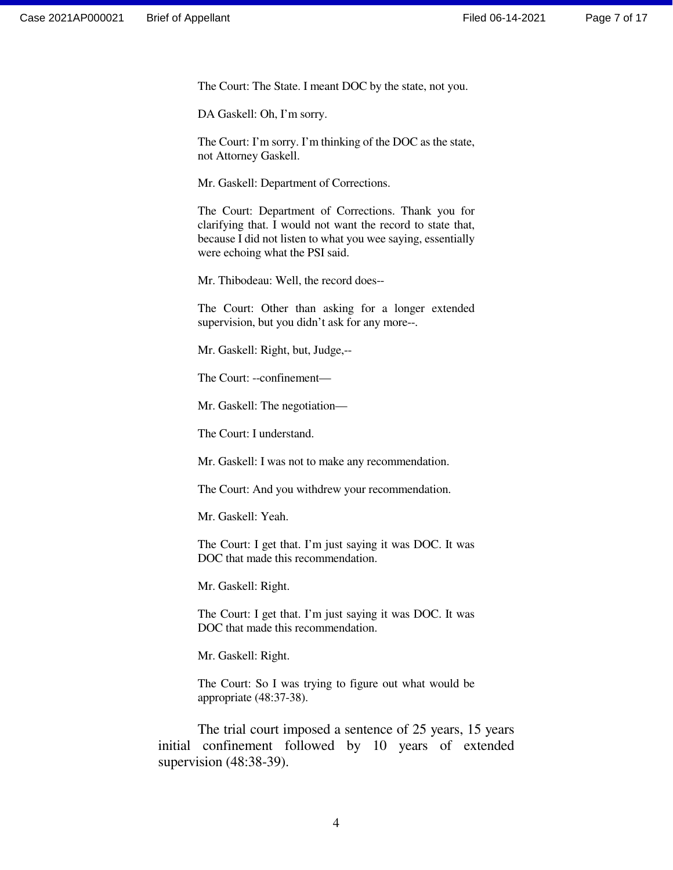The Court: The State. I meant DOC by the state, not you.

DA Gaskell: Oh, I'm sorry.

The Court: I'm sorry. I'm thinking of the DOC as the state, not Attorney Gaskell.

Mr. Gaskell: Department of Corrections.

The Court: Department of Corrections. Thank you for clarifying that. I would not want the record to state that, because I did not listen to what you wee saying, essentially were echoing what the PSI said.

Mr. Thibodeau: Well, the record does--

The Court: Other than asking for a longer extended supervision, but you didn't ask for any more--.

Mr. Gaskell: Right, but, Judge,--

The Court: --confinement—

Mr. Gaskell: The negotiation—

The Court: I understand.

Mr. Gaskell: I was not to make any recommendation.

The Court: And you withdrew your recommendation.

Mr. Gaskell: Yeah.

The Court: I get that. I'm just saying it was DOC. It was DOC that made this recommendation.

Mr. Gaskell: Right.

The Court: I get that. I'm just saying it was DOC. It was DOC that made this recommendation.

Mr. Gaskell: Right.

The Court: So I was trying to figure out what would be appropriate (48:37-38).

 The trial court imposed a sentence of 25 years, 15 years initial confinement followed by 10 years of extended supervision (48:38-39).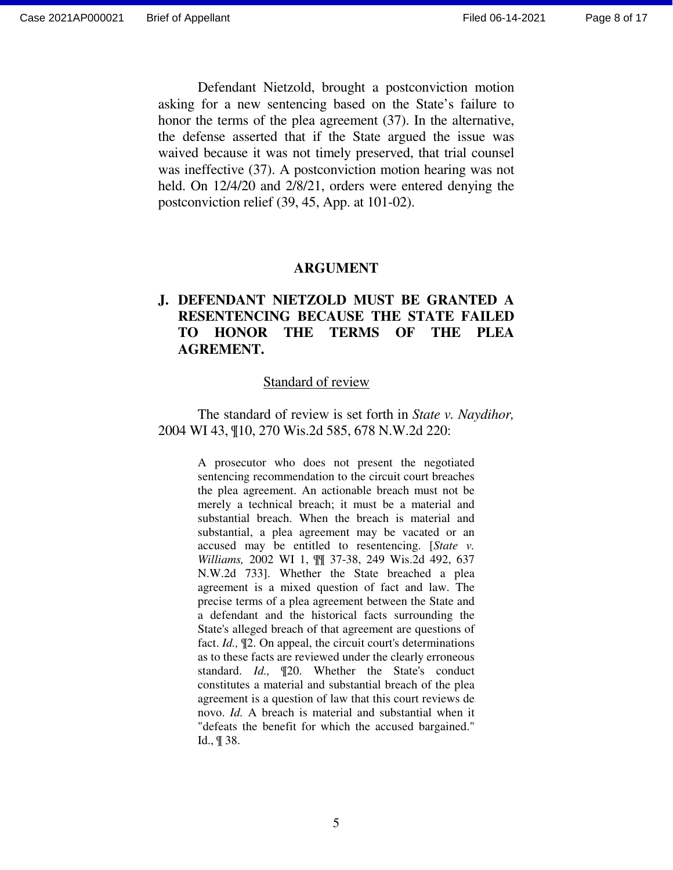Defendant Nietzold, brought a postconviction motion asking for a new sentencing based on the State's failure to honor the terms of the plea agreement (37). In the alternative, the defense asserted that if the State argued the issue was waived because it was not timely preserved, that trial counsel was ineffective (37). A postconviction motion hearing was not held. On 12/4/20 and 2/8/21, orders were entered denying the postconviction relief (39, 45, App. at 101-02).

#### **ARGUMENT**

# **J. DEFENDANT NIETZOLD MUST BE GRANTED A RESENTENCING BECAUSE THE STATE FAILED TO HONOR THE TERMS OF THE PLEA AGREMENT.**

#### Standard of review

 The standard of review is set forth in *State v. Naydihor,*  2004 WI 43, ¶10, 270 Wis.2d 585, 678 N.W.2d 220:

> A prosecutor who does not present the negotiated sentencing recommendation to the circuit court breaches the plea agreement. An actionable breach must not be merely a technical breach; it must be a material and substantial breach. When the breach is material and substantial, a plea agreement may be vacated or an accused may be entitled to resentencing. [*State v. Williams,* 2002 WI 1, ¶¶ 37-38, 249 Wis.2d 492, 637 N.W.2d 733]. Whether the State breached a plea agreement is a mixed question of fact and law. The precise terms of a plea agreement between the State and a defendant and the historical facts surrounding the State's alleged breach of that agreement are questions of fact. *Id.,* ¶2. On appeal, the circuit court's determinations as to these facts are reviewed under the clearly erroneous standard. *Id.,* ¶20. Whether the State's conduct constitutes a material and substantial breach of the plea agreement is a question of law that this court reviews de novo. *Id.* A breach is material and substantial when it "defeats the benefit for which the accused bargained." Id., ¶ 38.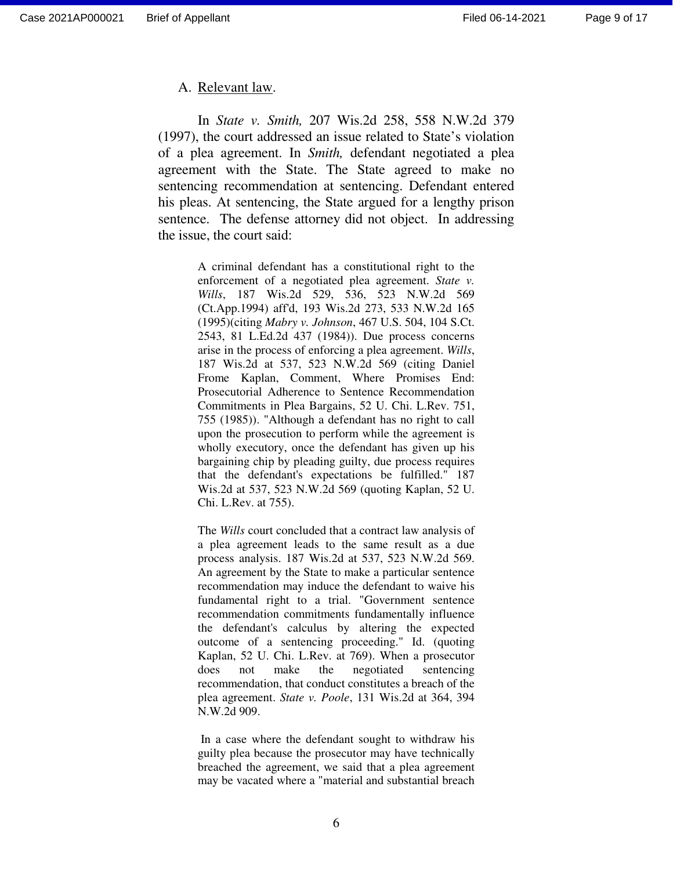#### A. Relevant law.

In *State v. Smith,* 207 Wis.2d 258, 558 N.W.2d 379 (1997), the court addressed an issue related to State's violation of a plea agreement. In *Smith,* defendant negotiated a plea agreement with the State. The State agreed to make no sentencing recommendation at sentencing. Defendant entered his pleas. At sentencing, the State argued for a lengthy prison sentence. The defense attorney did not object. In addressing the issue, the court said:

> A criminal defendant has a constitutional right to the enforcement of a negotiated plea agreement. *State v. Wills*, 187 Wis.2d 529, 536, 523 N.W.2d 569 (Ct.App.1994) aff'd, 193 Wis.2d 273, 533 N.W.2d 165 (1995)(citing *Mabry v. Johnson*, 467 U.S. 504, 104 S.Ct. 2543, 81 L.Ed.2d 437 (1984)). Due process concerns arise in the process of enforcing a plea agreement. *Wills*, 187 Wis.2d at 537, 523 N.W.2d 569 (citing Daniel Frome Kaplan, Comment, Where Promises End: Prosecutorial Adherence to Sentence Recommendation Commitments in Plea Bargains, 52 U. Chi. L.Rev. 751, 755 (1985)). "Although a defendant has no right to call upon the prosecution to perform while the agreement is wholly executory, once the defendant has given up his bargaining chip by pleading guilty, due process requires that the defendant's expectations be fulfilled." 187 Wis.2d at 537, 523 N.W.2d 569 (quoting Kaplan, 52 U. Chi. L.Rev. at 755).

> The *Wills* court concluded that a contract law analysis of a plea agreement leads to the same result as a due process analysis. 187 Wis.2d at 537, 523 N.W.2d 569. An agreement by the State to make a particular sentence recommendation may induce the defendant to waive his fundamental right to a trial. "Government sentence recommendation commitments fundamentally influence the defendant's calculus by altering the expected outcome of a sentencing proceeding." Id. (quoting Kaplan, 52 U. Chi. L.Rev. at 769). When a prosecutor does not make the negotiated sentencing recommendation, that conduct constitutes a breach of the plea agreement. *State v. Poole*, 131 Wis.2d at 364, 394 N.W.2d 909.

> In a case where the defendant sought to withdraw his guilty plea because the prosecutor may have technically breached the agreement, we said that a plea agreement may be vacated where a "material and substantial breach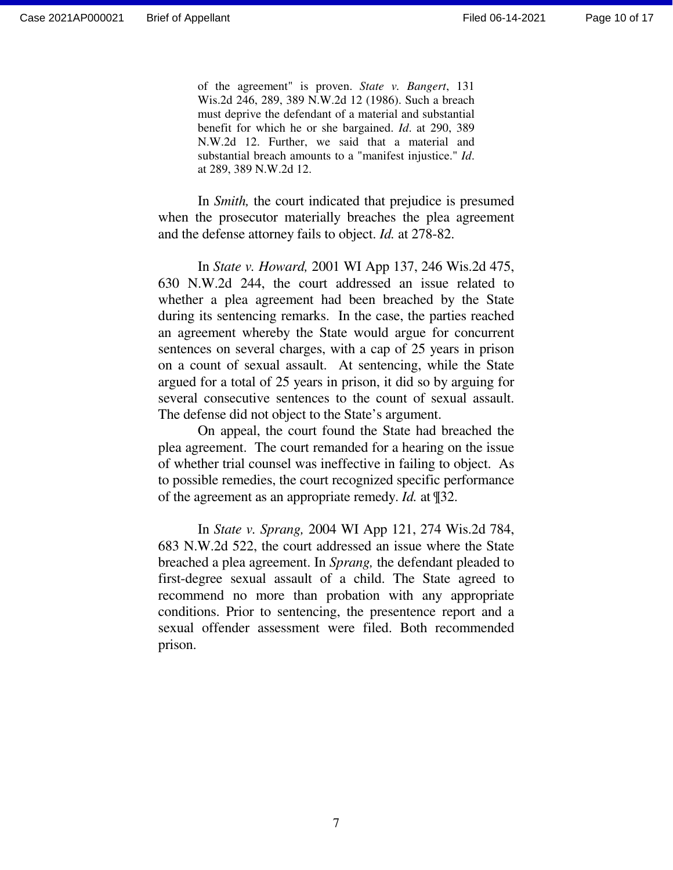of the agreement" is proven. *State v. Bangert*, 131 Wis.2d 246, 289, 389 N.W.2d 12 (1986). Such a breach must deprive the defendant of a material and substantial benefit for which he or she bargained. *Id*. at 290, 389 N.W.2d 12. Further, we said that a material and substantial breach amounts to a "manifest injustice." *Id*. at 289, 389 N.W.2d 12.

In *Smith,* the court indicated that prejudice is presumed when the prosecutor materially breaches the plea agreement and the defense attorney fails to object. *Id.* at 278-82.

In *State v. Howard,* 2001 WI App 137, 246 Wis.2d 475, 630 N.W.2d 244, the court addressed an issue related to whether a plea agreement had been breached by the State during its sentencing remarks. In the case, the parties reached an agreement whereby the State would argue for concurrent sentences on several charges, with a cap of 25 years in prison on a count of sexual assault. At sentencing, while the State argued for a total of 25 years in prison, it did so by arguing for several consecutive sentences to the count of sexual assault. The defense did not object to the State's argument.

On appeal, the court found the State had breached the plea agreement. The court remanded for a hearing on the issue of whether trial counsel was ineffective in failing to object. As to possible remedies, the court recognized specific performance of the agreement as an appropriate remedy. *Id.* at ¶32.

In *State v. Sprang,* 2004 WI App 121, 274 Wis.2d 784, 683 N.W.2d 522, the court addressed an issue where the State breached a plea agreement. In *Sprang,* the defendant pleaded to first-degree sexual assault of a child. The State agreed to recommend no more than probation with any appropriate conditions. Prior to sentencing, the presentence report and a sexual offender assessment were filed. Both recommended prison.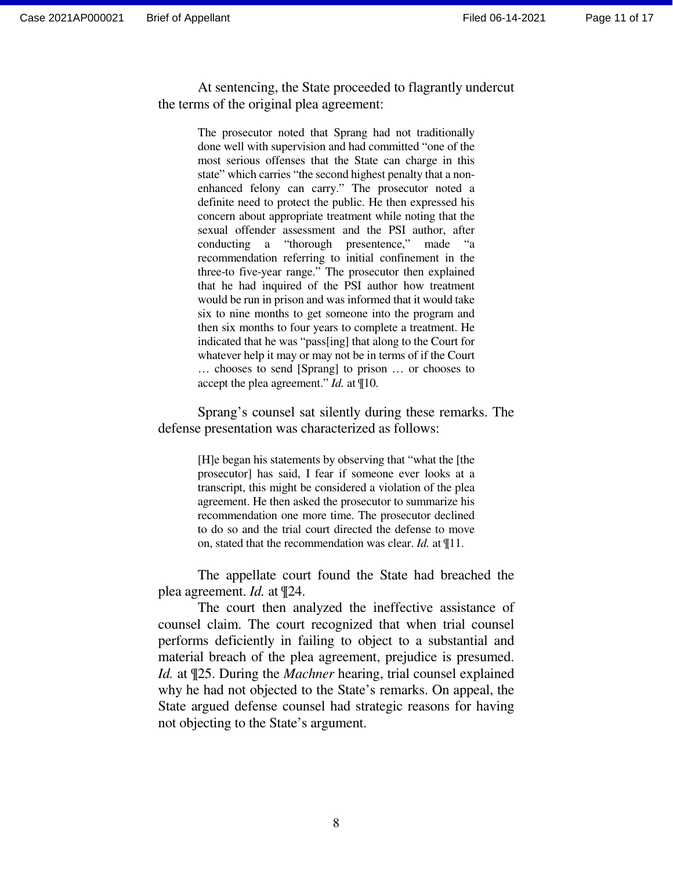At sentencing, the State proceeded to flagrantly undercut the terms of the original plea agreement:

> The prosecutor noted that Sprang had not traditionally done well with supervision and had committed "one of the most serious offenses that the State can charge in this state" which carries "the second highest penalty that a nonenhanced felony can carry." The prosecutor noted a definite need to protect the public. He then expressed his concern about appropriate treatment while noting that the sexual offender assessment and the PSI author, after conducting a "thorough presentence," made "a recommendation referring to initial confinement in the three-to five-year range." The prosecutor then explained that he had inquired of the PSI author how treatment would be run in prison and was informed that it would take six to nine months to get someone into the program and then six months to four years to complete a treatment. He indicated that he was "pass[ing] that along to the Court for whatever help it may or may not be in terms of if the Court … chooses to send [Sprang] to prison … or chooses to accept the plea agreement." *Id.* at ¶10.

 Sprang's counsel sat silently during these remarks. The defense presentation was characterized as follows:

> [H]e began his statements by observing that "what the [the prosecutor] has said, I fear if someone ever looks at a transcript, this might be considered a violation of the plea agreement. He then asked the prosecutor to summarize his recommendation one more time. The prosecutor declined to do so and the trial court directed the defense to move on, stated that the recommendation was clear. *Id.* at ¶11.

The appellate court found the State had breached the plea agreement. *Id.* at ¶24.

The court then analyzed the ineffective assistance of counsel claim. The court recognized that when trial counsel performs deficiently in failing to object to a substantial and material breach of the plea agreement, prejudice is presumed. *Id.* at ¶25. During the *Machner* hearing, trial counsel explained why he had not objected to the State's remarks. On appeal, the State argued defense counsel had strategic reasons for having not objecting to the State's argument.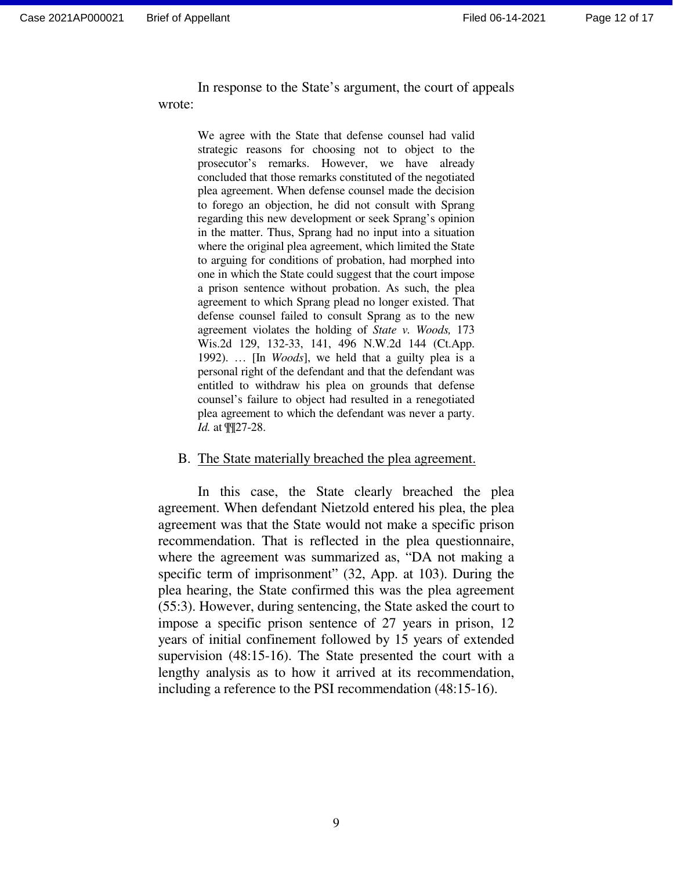In response to the State's argument, the court of appeals wrote:

> We agree with the State that defense counsel had valid strategic reasons for choosing not to object to the prosecutor's remarks. However, we have already concluded that those remarks constituted of the negotiated plea agreement. When defense counsel made the decision to forego an objection, he did not consult with Sprang regarding this new development or seek Sprang's opinion in the matter. Thus, Sprang had no input into a situation where the original plea agreement, which limited the State to arguing for conditions of probation, had morphed into one in which the State could suggest that the court impose a prison sentence without probation. As such, the plea agreement to which Sprang plead no longer existed. That defense counsel failed to consult Sprang as to the new agreement violates the holding of *State v. Woods,* 173 Wis.2d 129, 132-33, 141, 496 N.W.2d 144 (Ct.App. 1992). … [In *Woods*], we held that a guilty plea is a personal right of the defendant and that the defendant was entitled to withdraw his plea on grounds that defense counsel's failure to object had resulted in a renegotiated plea agreement to which the defendant was never a party. *Id.* at ¶¶27-28.

#### B. The State materially breached the plea agreement.

In this case, the State clearly breached the plea agreement. When defendant Nietzold entered his plea, the plea agreement was that the State would not make a specific prison recommendation. That is reflected in the plea questionnaire, where the agreement was summarized as, "DA not making a specific term of imprisonment" (32, App. at 103). During the plea hearing, the State confirmed this was the plea agreement (55:3). However, during sentencing, the State asked the court to impose a specific prison sentence of 27 years in prison, 12 years of initial confinement followed by 15 years of extended supervision (48:15-16). The State presented the court with a lengthy analysis as to how it arrived at its recommendation, including a reference to the PSI recommendation (48:15-16).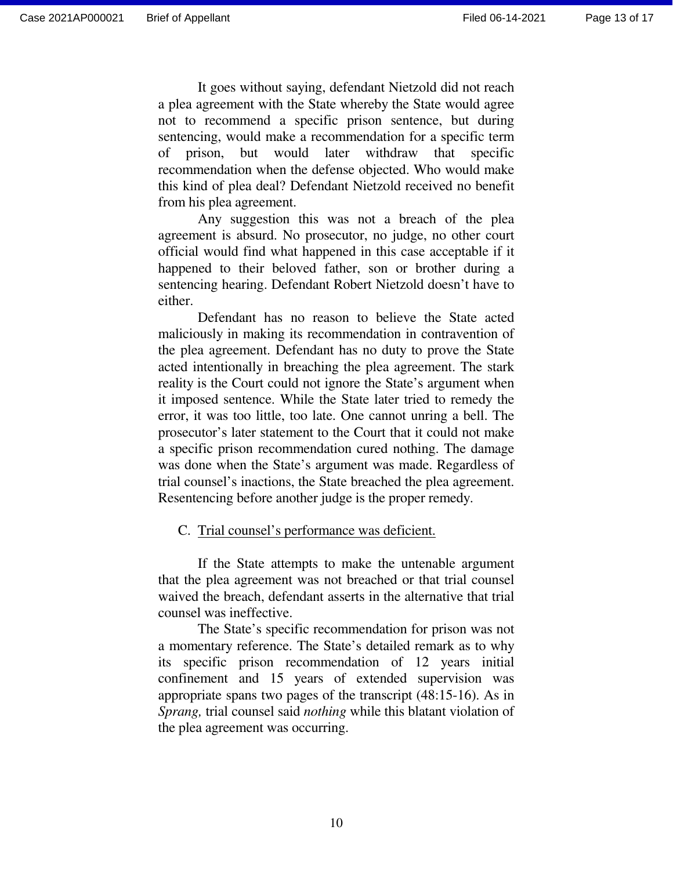It goes without saying, defendant Nietzold did not reach a plea agreement with the State whereby the State would agree not to recommend a specific prison sentence, but during sentencing, would make a recommendation for a specific term of prison, but would later withdraw that specific recommendation when the defense objected. Who would make this kind of plea deal? Defendant Nietzold received no benefit from his plea agreement.

Any suggestion this was not a breach of the plea agreement is absurd. No prosecutor, no judge, no other court official would find what happened in this case acceptable if it happened to their beloved father, son or brother during a sentencing hearing. Defendant Robert Nietzold doesn't have to either.

Defendant has no reason to believe the State acted maliciously in making its recommendation in contravention of the plea agreement. Defendant has no duty to prove the State acted intentionally in breaching the plea agreement. The stark reality is the Court could not ignore the State's argument when it imposed sentence. While the State later tried to remedy the error, it was too little, too late. One cannot unring a bell. The prosecutor's later statement to the Court that it could not make a specific prison recommendation cured nothing. The damage was done when the State's argument was made. Regardless of trial counsel's inactions, the State breached the plea agreement. Resentencing before another judge is the proper remedy.

#### C. Trial counsel's performance was deficient.

If the State attempts to make the untenable argument that the plea agreement was not breached or that trial counsel waived the breach, defendant asserts in the alternative that trial counsel was ineffective.

The State's specific recommendation for prison was not a momentary reference. The State's detailed remark as to why its specific prison recommendation of 12 years initial confinement and 15 years of extended supervision was appropriate spans two pages of the transcript (48:15-16). As in *Sprang,* trial counsel said *nothing* while this blatant violation of the plea agreement was occurring.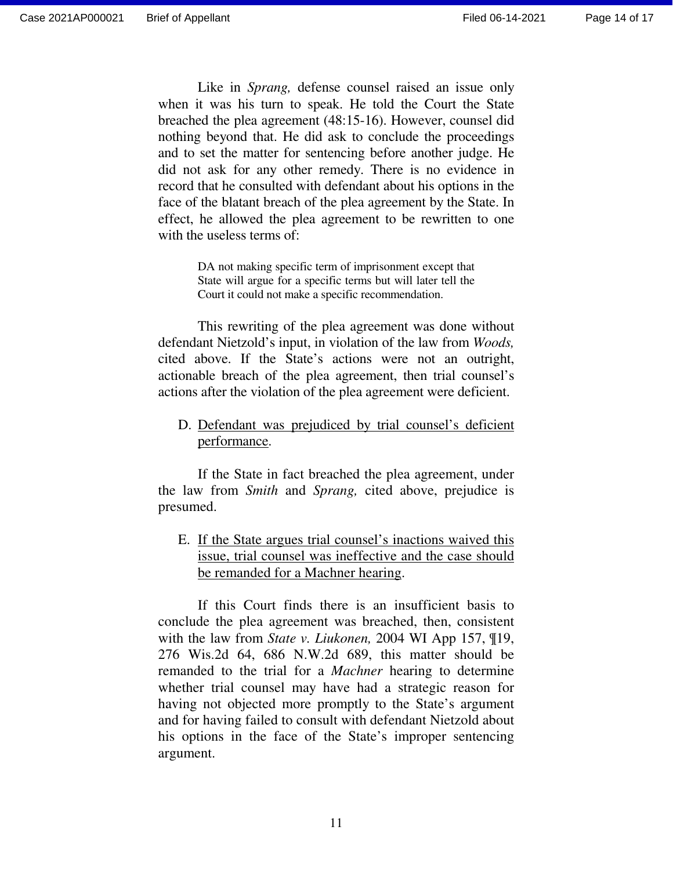Like in *Sprang,* defense counsel raised an issue only when it was his turn to speak. He told the Court the State breached the plea agreement (48:15-16). However, counsel did nothing beyond that. He did ask to conclude the proceedings and to set the matter for sentencing before another judge. He did not ask for any other remedy. There is no evidence in record that he consulted with defendant about his options in the face of the blatant breach of the plea agreement by the State. In effect, he allowed the plea agreement to be rewritten to one with the useless terms of:

> DA not making specific term of imprisonment except that State will argue for a specific terms but will later tell the Court it could not make a specific recommendation.

 This rewriting of the plea agreement was done without defendant Nietzold's input, in violation of the law from *Woods,*  cited above. If the State's actions were not an outright, actionable breach of the plea agreement, then trial counsel's actions after the violation of the plea agreement were deficient.

D. Defendant was prejudiced by trial counsel's deficient performance.

If the State in fact breached the plea agreement, under the law from *Smith* and *Sprang,* cited above, prejudice is presumed.

E. If the State argues trial counsel's inactions waived this issue, trial counsel was ineffective and the case should be remanded for a Machner hearing.

If this Court finds there is an insufficient basis to conclude the plea agreement was breached, then, consistent with the law from *State v. Liukonen,* 2004 WI App 157, ¶19, 276 Wis.2d 64, 686 N.W.2d 689, this matter should be remanded to the trial for a *Machner* hearing to determine whether trial counsel may have had a strategic reason for having not objected more promptly to the State's argument and for having failed to consult with defendant Nietzold about his options in the face of the State's improper sentencing argument.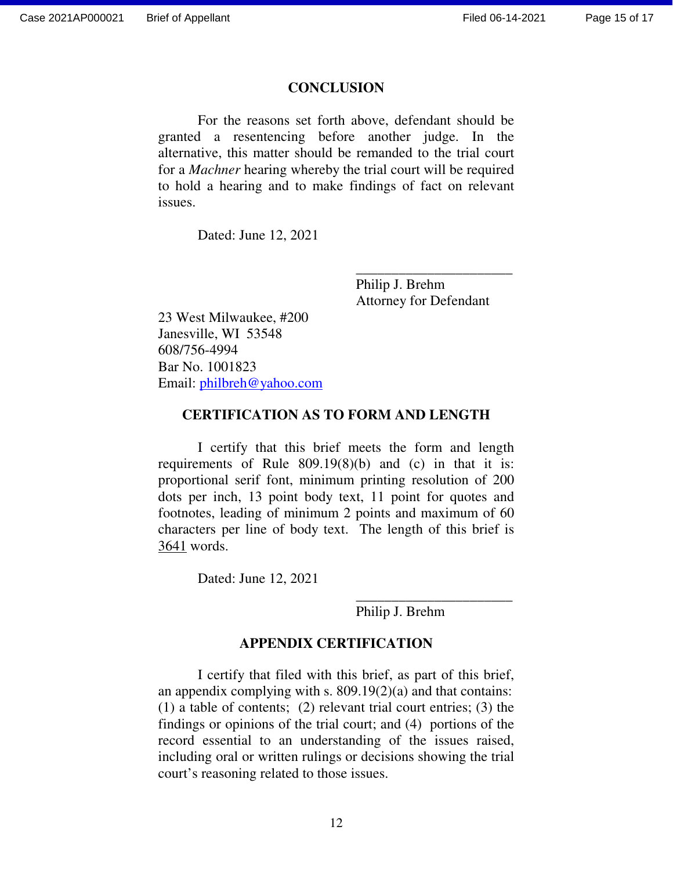#### **CONCLUSION**

For the reasons set forth above, defendant should be granted a resentencing before another judge. In the alternative, this matter should be remanded to the trial court for a *Machner* hearing whereby the trial court will be required to hold a hearing and to make findings of fact on relevant issues.

Dated: June 12, 2021

Philip J. Brehm Attorney for Defendant

\_\_\_\_\_\_\_\_\_\_\_\_\_\_\_\_\_\_\_\_\_\_

23 West Milwaukee, #200 Janesville, WI 53548 608/756-4994 Bar No. 1001823 Email: philbreh@yahoo.com

### **CERTIFICATION AS TO FORM AND LENGTH**

I certify that this brief meets the form and length requirements of Rule 809.19(8)(b) and (c) in that it is: proportional serif font, minimum printing resolution of 200 dots per inch, 13 point body text, 11 point for quotes and footnotes, leading of minimum 2 points and maximum of 60 characters per line of body text. The length of this brief is 3641 words.

Dated: June 12, 2021

Philip J. Brehm

\_\_\_\_\_\_\_\_\_\_\_\_\_\_\_\_\_\_\_\_\_\_

## **APPENDIX CERTIFICATION**

I certify that filed with this brief, as part of this brief, an appendix complying with s. 809.19(2)(a) and that contains: (1) a table of contents; (2) relevant trial court entries; (3) the findings or opinions of the trial court; and (4) portions of the record essential to an understanding of the issues raised, including oral or written rulings or decisions showing the trial court's reasoning related to those issues.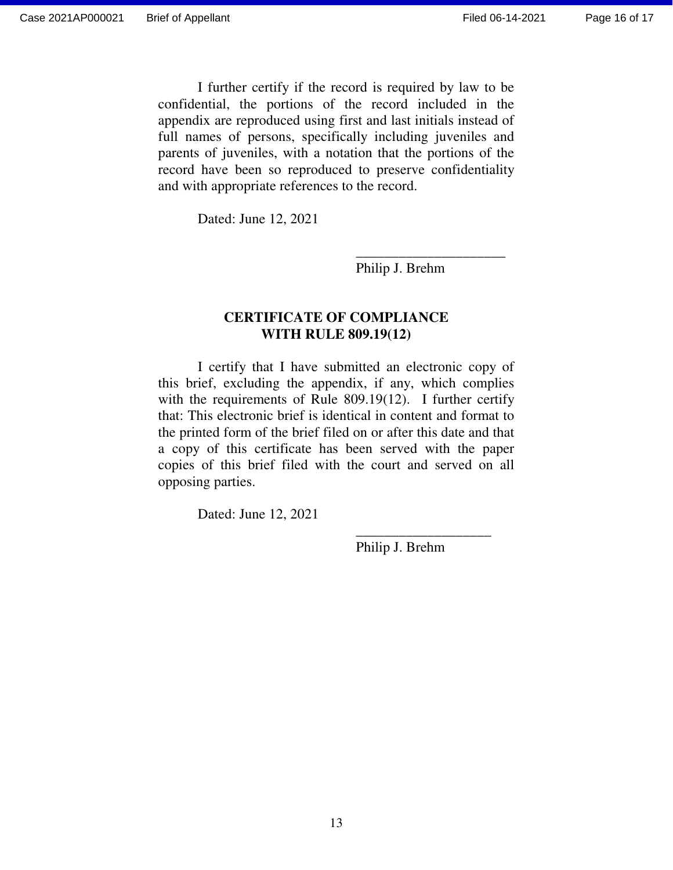I further certify if the record is required by law to be confidential, the portions of the record included in the appendix are reproduced using first and last initials instead of full names of persons, specifically including juveniles and parents of juveniles, with a notation that the portions of the record have been so reproduced to preserve confidentiality and with appropriate references to the record.

Dated: June 12, 2021

Philip J. Brehm

## **CERTIFICATE OF COMPLIANCE WITH RULE 809.19(12)**

\_\_\_\_\_\_\_\_\_\_\_\_\_\_\_\_\_\_\_\_\_

I certify that I have submitted an electronic copy of this brief, excluding the appendix, if any, which complies with the requirements of Rule 809.19(12). I further certify that: This electronic brief is identical in content and format to the printed form of the brief filed on or after this date and that a copy of this certificate has been served with the paper copies of this brief filed with the court and served on all opposing parties.

 $\frac{1}{2}$  ,  $\frac{1}{2}$  ,  $\frac{1}{2}$  ,  $\frac{1}{2}$  ,  $\frac{1}{2}$  ,  $\frac{1}{2}$  ,  $\frac{1}{2}$  ,  $\frac{1}{2}$  ,  $\frac{1}{2}$  ,  $\frac{1}{2}$  ,  $\frac{1}{2}$  ,  $\frac{1}{2}$  ,  $\frac{1}{2}$  ,  $\frac{1}{2}$  ,  $\frac{1}{2}$  ,  $\frac{1}{2}$  ,  $\frac{1}{2}$  ,  $\frac{1}{2}$  ,  $\frac{1$ 

Dated: June 12, 2021

Philip J. Brehm